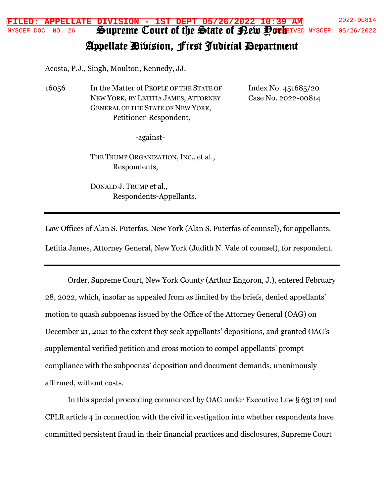NYSCEF DOC. NO. 26 Supreme Court of the State of Pety Pork IVED NYSCEF: 05/26/2022 **FILED: APPELLATE DIVISION - 1ST DEPT 05/26/2022 10:39 AM** 2022-00814

## Appellate Division, First Judicial Department

Acosta, P.J., Singh, Moulton, Kennedy, JJ.

16056 In the Matter of PEOPLE OF THE STATE OF NEW YORK, BY LETITIA JAMES, ATTORNEY GENERAL OF THE STATE OF NEW YORK, Petitioner-Respondent,

Index No. 451685/20 Case No. 2022-00814

-against-

THE TRUMP ORGANIZATION, INC., et al., Respondents,

DONALD J. TRUMP et al., Respondents-Appellants.

Law Offices of Alan S. Futerfas, New York (Alan S. Futerfas of counsel), for appellants.

Letitia James, Attorney General, New York (Judith N. Vale of counsel), for respondent.

Order, Supreme Court, New York County (Arthur Engoron, J.), entered February 28, 2022, which, insofar as appealed from as limited by the briefs, denied appellants' motion to quash subpoenas issued by the Office of the Attorney General (OAG) on December 21, 2021 to the extent they seek appellants' depositions, and granted OAG's supplemental verified petition and cross motion to compel appellants' prompt compliance with the subpoenas' deposition and document demands, unanimously affirmed, without costs.

In this special proceeding commenced by OAG under Executive Law  $\S 63(12)$  and CPLR article 4 in connection with the civil investigation into whether respondents have committed persistent fraud in their financial practices and disclosures, Supreme Court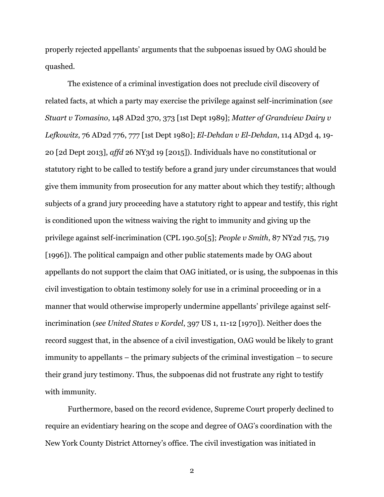properly rejected appellants' arguments that the subpoenas issued by OAG should be quashed.

The existence of a criminal investigation does not preclude civil discovery of related facts, at which a party may exercise the privilege against self-incrimination (*see Stuart v Tomasino*, 148 AD2d 370, 373 [1st Dept 1989]; *Matter of Grandview Dairy v Lefkowitz*, 76 AD2d 776, 777 [1st Dept 1980]; *El-Dehdan v El-Dehdan*, 114 AD3d 4, 19- 20 [2d Dept 2013], *affd* 26 NY3d 19 [2015]). Individuals have no constitutional or statutory right to be called to testify before a grand jury under circumstances that would give them immunity from prosecution for any matter about which they testify; although subjects of a grand jury proceeding have a statutory right to appear and testify, this right is conditioned upon the witness waiving the right to immunity and giving up the privilege against self-incrimination (CPL 190.50[5]; *People v Smith*, 87 NY2d 715, 719 [1996]). The political campaign and other public statements made by OAG about appellants do not support the claim that OAG initiated, or is using, the subpoenas in this civil investigation to obtain testimony solely for use in a criminal proceeding or in a manner that would otherwise improperly undermine appellants' privilege against selfincrimination (*see United States v Kordel*, 397 US 1, 11-12 [1970]). Neither does the record suggest that, in the absence of a civil investigation, OAG would be likely to grant immunity to appellants – the primary subjects of the criminal investigation – to secure their grand jury testimony. Thus, the subpoenas did not frustrate any right to testify with immunity.

Furthermore, based on the record evidence, Supreme Court properly declined to require an evidentiary hearing on the scope and degree of OAG's coordination with the New York County District Attorney's office. The civil investigation was initiated in

2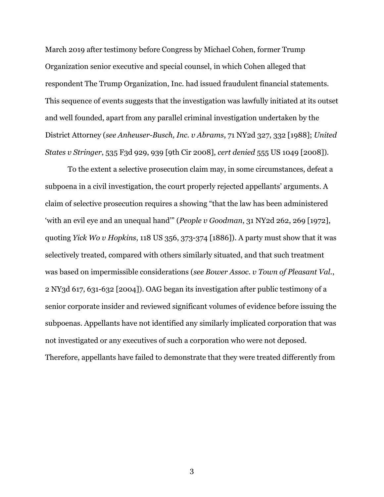March 2019 after testimony before Congress by Michael Cohen, former Trump Organization senior executive and special counsel, in which Cohen alleged that respondent The Trump Organization, Inc. had issued fraudulent financial statements. This sequence of events suggests that the investigation was lawfully initiated at its outset and well founded, apart from any parallel criminal investigation undertaken by the District Attorney (*see Anheuser-Busch, Inc. v Abrams*, 71 NY2d 327, 332 [1988]; *United States v Stringer*, 535 F3d 929, 939 [9th Cir 2008], *cert denied* 555 US 1049 [2008]).

To the extent a selective prosecution claim may, in some circumstances, defeat a subpoena in a civil investigation, the court properly rejected appellants' arguments. A claim of selective prosecution requires a showing "that the law has been administered 'with an evil eye and an unequal hand'" (*People v Goodman*, 31 NY2d 262, 269 [1972], quoting *Yick Wo v Hopkins*, 118 US 356, 373-374 [1886]). A party must show that it was selectively treated, compared with others similarly situated, and that such treatment was based on impermissible considerations (*see Bower Assoc. v Town of Pleasant Val.*, 2 NY3d 617, 631-632 [2004]). OAG began its investigation after public testimony of a senior corporate insider and reviewed significant volumes of evidence before issuing the subpoenas. Appellants have not identified any similarly implicated corporation that was not investigated or any executives of such a corporation who were not deposed. Therefore, appellants have failed to demonstrate that they were treated differently from

3